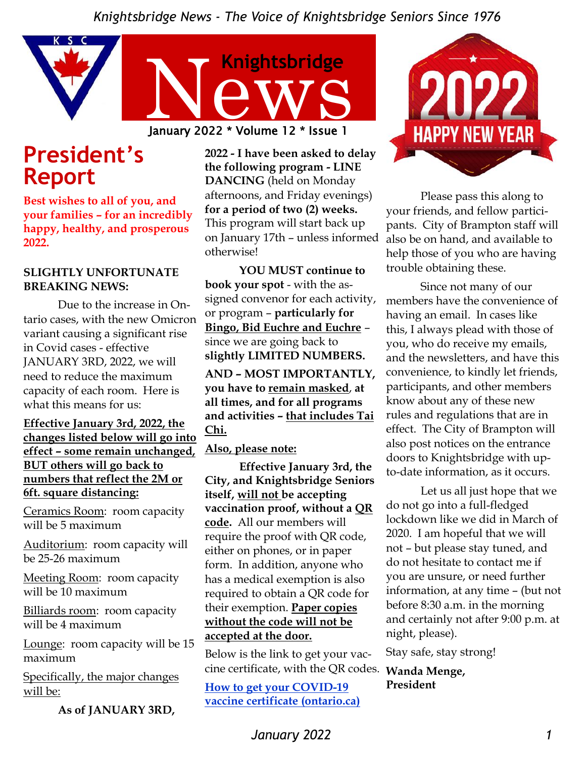

## **President's Report**

**Best wishes to all of you, and your families – for an incredibly happy, healthy, and prosperous 2022.**

#### **SLIGHTLY UNFORTUNATE BREAKING NEWS:**

Due to the increase in Ontario cases, with the new Omicron variant causing a significant rise in Covid cases - effective JANUARY 3RD, 2022, we will need to reduce the maximum capacity of each room. Here is what this means for us:

#### **Effective January 3rd, 2022, the changes listed below will go into effect – some remain unchanged, BUT others will go back to numbers that reflect the 2M or 6ft. square distancing:**

Ceramics Room: room capacity will be 5 maximum

Auditorium: room capacity will be 25-26 maximum

Meeting Room: room capacity will be 10 maximum

Billiards room: room capacity will be 4 maximum

Lounge: room capacity will be 15 maximum

Specifically, the major changes will be:

**As of JANUARY 3RD,** 

**2022 - I have been asked to delay the following program - LINE DANCING** (held on Monday afternoons, and Friday evenings) **for a period of two (2) weeks.**  This program will start back up on January 17th – unless informed otherwise!

**YOU MUST continue to book your spot** - with the assigned convenor for each activity, or program – **particularly for Bingo, Bid Euchre and Euchre** – since we are going back to **slightly LIMITED NUMBERS.**

**AND – MOST IMPORTANTLY, you have to remain masked**, **at all times, and for all programs and activities – that includes Tai Chi.**

#### **Also, please note:**

**Effective January 3rd, the City, and Knightsbridge Seniors itself, will not be accepting vaccination proof, without a QR code.** All our members will require the proof with QR code, either on phones, or in paper form. In addition, anyone who has a medical exemption is also required to obtain a QR code for their exemption. **Paper copies without the code will not be accepted at the door.**

Below is the link to get your vaccine certificate, with the QR codes. **Wanda Menge,** 

**How to get your COVID-19 vaccine certificate (ontario.ca)**



Please pass this along to your friends, and fellow participants. City of Brampton staff will also be on hand, and available to help those of you who are having trouble obtaining these.

Since not many of our members have the convenience of having an email. In cases like this, I always plead with those of you, who do receive my emails, and the newsletters, and have this convenience, to kindly let friends, participants, and other members know about any of these new rules and regulations that are in effect. The City of Brampton will also post notices on the entrance doors to Knightsbridge with upto-date information, as it occurs.

Let us all just hope that we do not go into a full-fledged lockdown like we did in March of 2020. I am hopeful that we will not – but please stay tuned, and do not hesitate to contact me if you are unsure, or need further information, at any time – (but not before 8:30 a.m. in the morning and certainly not after 9:00 p.m. at night, please).

Stay safe, stay strong!

**President**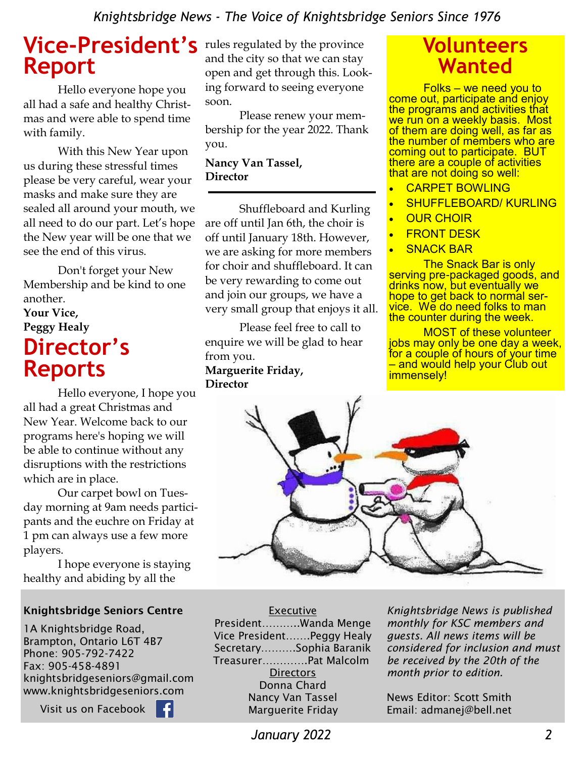## **Vice-President's**  rules regulated by the province **Report**

Hello everyone hope you all had a safe and healthy Christmas and were able to spend time with family.

With this New Year upon us during these stressful times please be very careful, wear your masks and make sure they are sealed all around your mouth, we all need to do our part. Let's hope the New year will be one that we see the end of this virus.

Don't forget your New Membership and be kind to one another.

## **Your Vice, Peggy Healy Director's Reports**

Hello everyone, I hope you all had a great Christmas and New Year. Welcome back to our programs here's hoping we will be able to continue without any disruptions with the restrictions which are in place.

Our carpet bowl on Tuesday morning at 9am needs participants and the euchre on Friday at 1 pm can always use a few more players.

I hope everyone is staying healthy and abiding by all the

#### Knightsbridge Seniors Centre

1A Knightsbridge Road, Brampton, Ontario L6T 4B7 Phone: 905-792-7422 Fax: 905-458-4891 knightsbridgeseniors@gmail.com www.knightsbridgeseniors.com

Visit us on Facebook

and the city so that we can stay open and get through this. Looking forward to seeing everyone soon.

Please renew your membership for the year 2022. Thank you.

#### **Nancy Van Tassel, Director**

Shuffleboard and Kurling are off until Jan 6th, the choir is off until January 18th. However, we are asking for more members for choir and shuffleboard. It can be very rewarding to come out and join our groups, we have a very small group that enjoys it all.

Please feel free to call to enquire we will be glad to hear from you.

#### **Marguerite Friday, Director**

## **Volunteers Wanted**

Folks – we need you to come out, participate and enjoy the programs and activities that we run on a weekly basis. Most of them are doing well, as far as the number of members who are coming out to participate. BUT there are a couple of activities that are not doing so well:

- CARPET BOWLING
- SHUFFLEBOARD/ KURLING
- **OUR CHOIR**
- **FRONT DESK**
- **SNACK BAR**

The Snack Bar is only serving pre-packaged goods, and drinks now, but eventually we hope to get back to normal service. We do need folks to man the counter during the week.

MOST of these volunteer jobs may only be one day a week, for a couple of hours of your time – and would help your Club out immensely!



#### **Executive**

President………..Wanda Menge Vice President…….Peggy Healy Secretary……….Sophia Baranik Treasurer………….Pat Malcolm **Directors** Donna Chard Nancy Van Tassel Marguerite Friday

*Knightsbridge News is published monthly for KSC members and guests. All news items will be considered for inclusion and must be received by the 20th of the month prior to edition.* 

News Editor: Scott Smith Email: admanej@bell.net

 *January 2022 2*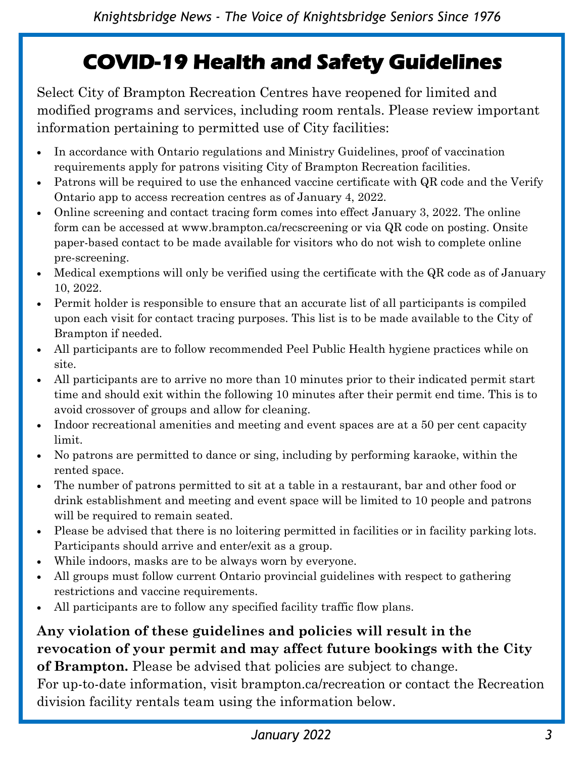# **COVID-19 Health and Safety Guidelines**

Select City of Brampton Recreation Centres have reopened for limited and modified programs and services, including room rentals. Please review important information pertaining to permitted use of City facilities:

- In accordance with Ontario regulations and Ministry Guidelines, proof of vaccination requirements apply for patrons visiting City of Brampton Recreation facilities.
- Patrons will be required to use the enhanced vaccine certificate with QR code and the Verify Ontario app to access recreation centres as of January 4, 2022.
- Online screening and contact tracing form comes into effect January 3, 2022. The online form can be accessed at www.brampton.ca/recscreening or via QR code on posting. Onsite paper-based contact to be made available for visitors who do not wish to complete online pre-screening.
- Medical exemptions will only be verified using the certificate with the QR code as of January 10, 2022.
- Permit holder is responsible to ensure that an accurate list of all participants is compiled upon each visit for contact tracing purposes. This list is to be made available to the City of Brampton if needed.
- All participants are to follow recommended Peel Public Health hygiene practices while on site.
- All participants are to arrive no more than 10 minutes prior to their indicated permit start time and should exit within the following 10 minutes after their permit end time. This is to avoid crossover of groups and allow for cleaning.
- Indoor recreational amenities and meeting and event spaces are at a 50 per cent capacity limit.
- No patrons are permitted to dance or sing, including by performing karaoke, within the rented space.
- The number of patrons permitted to sit at a table in a restaurant, bar and other food or drink establishment and meeting and event space will be limited to 10 people and patrons will be required to remain seated.
- Please be advised that there is no loitering permitted in facilities or in facility parking lots. Participants should arrive and enter/exit as a group.
- While indoors, masks are to be always worn by everyone.
- All groups must follow current Ontario provincial guidelines with respect to gathering restrictions and vaccine requirements.
- All participants are to follow any specified facility traffic flow plans.

## **Any violation of these guidelines and policies will result in the revocation of your permit and may affect future bookings with the City**

**of Brampton.** Please be advised that policies are subject to change. For up-to-date information, visit brampton.ca/recreation or contact the Recreation

division facility rentals team using the information below.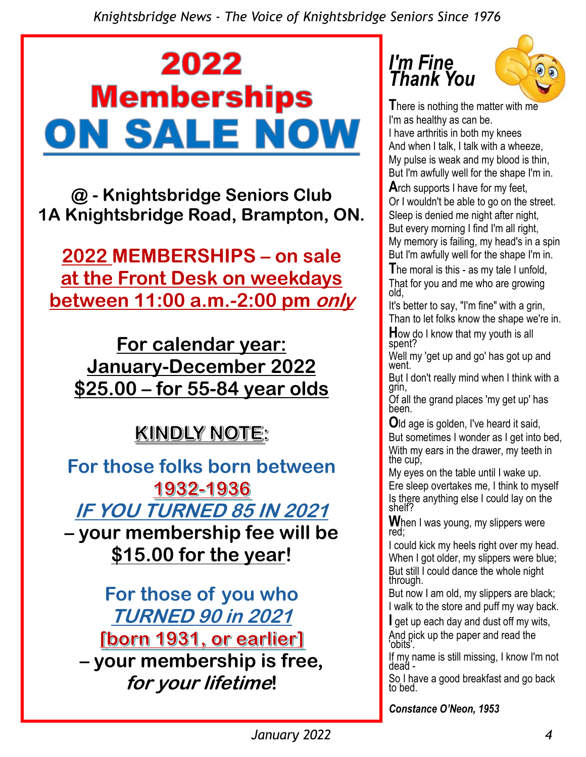# 2022 **Memberships** ON SALE NOW

**@ - Knightsbridge Seniors Club 1A Knightsbridge Road, Brampton, ON.** 

**2022 MEMBERSHIPS – on sale at the Front Desk on weekdays between 11:00 a.m.-2:00 pm only**

**For calendar year: January-December 2022 \$25.00 – for 55-84 year olds** 

# KINDLY NOTE:

**For those folks born between 1932-1936 IF YOU TURNED 85 IN 2021 – your membership fee will be \$15.00 for the year!**

**For those of you who TURNED 90 in 2021 [born 1931, or earlier] – your membership is free, for your lifetime!**

## *I'm Fine Thank You*



**T**here is nothing the matter with me I'm as healthy as can be.

I have arthritis in both my knees And when I talk, I talk with a wheeze, My pulse is weak and my blood is thin, But I'm awfully well for the shape I'm in.

**A**rch supports I have for my feet, Or I wouldn't be able to go on the street. Sleep is denied me night after night, But every morning I find I'm all right, My memory is failing, my head's in a spin But I'm awfully well for the shape I'm in.

**T**he moral is this - as my tale I unfold, That for you and me who are growing old,

It's better to say, "I'm fine" with a grin, Than to let folks know the shape we're in.

**H**ow do I know that my youth is all spent?

Well my 'get up and go' has got up and went.

But I don't really mind when I think with a grin,

Of all the grand places 'my get up' has been.

**O**ld age is golden, I've heard it said, But sometimes I wonder as I get into bed, With my ears in the drawer, my teeth in the cup,

My eyes on the table until I wake up. Ere sleep overtakes me, I think to myself Is there anything else I could lay on the shelf?

**W**hen I was young, my slippers were red;

I could kick my heels right over my head. When I got older, my slippers were blue; But still I could dance the whole night through.

But now I am old, my slippers are black; I walk to the store and puff my way back.

**I** get up each day and dust off my wits, And pick up the paper and read the 'obits'.

If my name is still missing, I know I'm not dead -

So I have a good breakfast and go back to bed.

*Constance O'Neon, 1953*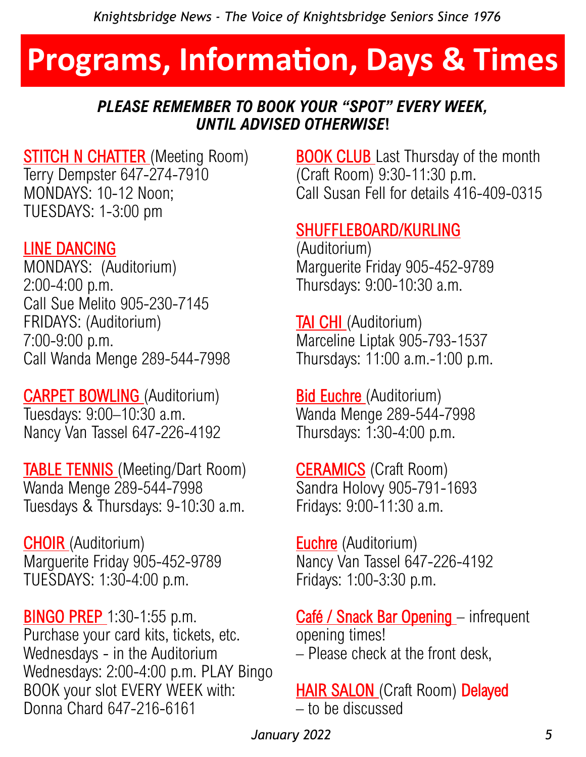# **Programs, Information, Days & Times**

### *PLEASE REMEMBER TO BOOK YOUR "SPOT" EVERY WEEK, UNTIL ADVISED OTHERWISE***!**

### **STITCH N CHATTER** (Meeting Room) Terry Dempster 647-274-7910 MONDAYS: 10-12 Noon; TUESDAYS: 1-3:00 pm

## LINE DANCING

MONDAYS: (Auditorium) 2:00-4:00 p.m. Call Sue Melito 905-230-7145 FRIDAYS: (Auditorium) 7:00-9:00 p.m. Call Wanda Menge 289-544-7998

CARPET BOWLING (Auditorium) Tuesdays: 9:00–10:30 a.m. Nancy Van Tassel 647-226-4192

**TABLE TENNIS** (Meeting/Dart Room) Wanda Menge 289-544-7998 Tuesdays & Thursdays: 9-10:30 a.m.

CHOIR (Auditorium) Marguerite Friday 905-452-9789 TUESDAYS: 1:30-4:00 p.m.

**BINGO PREP** 1:30-1:55 p.m. Purchase your card kits, tickets, etc. Wednesdays - in the Auditorium Wednesdays: 2:00-4:00 p.m. PLAY Bingo BOOK your slot EVERY WEEK with: Donna Chard 647-216-6161

**BOOK CLUB** Last Thursday of the month (Craft Room) 9:30-11:30 p.m. Call Susan Fell for details 416-409-0315

## SHUFFLEBOARD/KURLING

(Auditorium) Marguerite Friday 905-452-9789 Thursdays: 9:00-10:30 a.m.

**TAI CHI** (Auditorium) Marceline Liptak 905-793-1537 Thursdays: 11:00 a.m.-1:00 p.m.

**Bid Euchre** (Auditorium) Wanda Menge 289-544-7998 Thursdays: 1:30-4:00 p.m.

**CERAMICS** (Craft Room) Sandra Holovy 905-791-1693 Fridays: 9:00-11:30 a.m.

**Euchre** (Auditorium) Nancy Van Tassel 647-226-4192 Fridays: 1:00-3:30 p.m.

Café / Snack Bar Opening - infrequent opening times! – Please check at the front desk,

**HAIR SALON (Craft Room) Delayed** – to be discussed